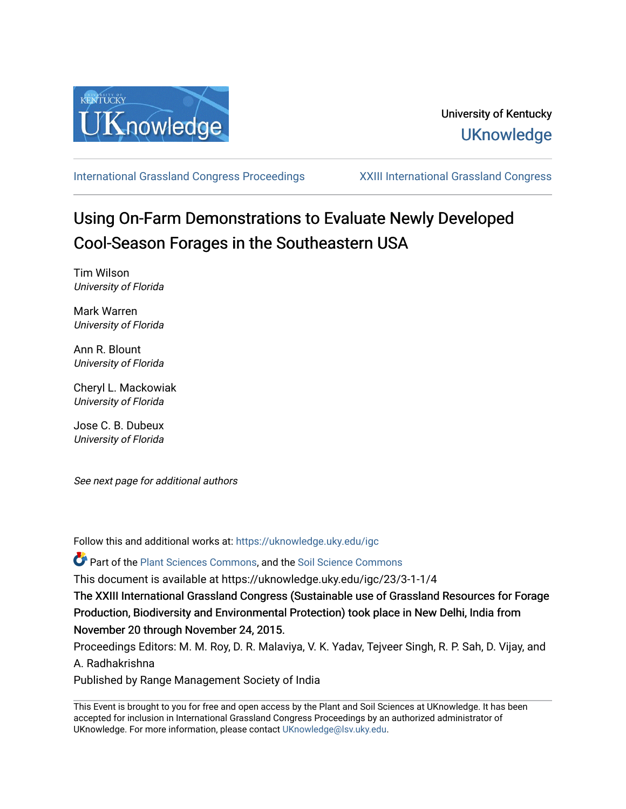

[International Grassland Congress Proceedings](https://uknowledge.uky.edu/igc) [XXIII International Grassland Congress](https://uknowledge.uky.edu/igc/23) 

# Using On-Farm Demonstrations to Evaluate Newly Developed Cool-Season Forages in the Southeastern USA

Tim Wilson University of Florida

Mark Warren University of Florida

Ann R. Blount University of Florida

Cheryl L. Mackowiak University of Florida

Jose C. B. Dubeux University of Florida

See next page for additional authors

Follow this and additional works at: [https://uknowledge.uky.edu/igc](https://uknowledge.uky.edu/igc?utm_source=uknowledge.uky.edu%2Figc%2F23%2F3-1-1%2F4&utm_medium=PDF&utm_campaign=PDFCoverPages) 

Part of the [Plant Sciences Commons](http://network.bepress.com/hgg/discipline/102?utm_source=uknowledge.uky.edu%2Figc%2F23%2F3-1-1%2F4&utm_medium=PDF&utm_campaign=PDFCoverPages), and the [Soil Science Commons](http://network.bepress.com/hgg/discipline/163?utm_source=uknowledge.uky.edu%2Figc%2F23%2F3-1-1%2F4&utm_medium=PDF&utm_campaign=PDFCoverPages) 

This document is available at https://uknowledge.uky.edu/igc/23/3-1-1/4

The XXIII International Grassland Congress (Sustainable use of Grassland Resources for Forage Production, Biodiversity and Environmental Protection) took place in New Delhi, India from November 20 through November 24, 2015.

Proceedings Editors: M. M. Roy, D. R. Malaviya, V. K. Yadav, Tejveer Singh, R. P. Sah, D. Vijay, and A. Radhakrishna

Published by Range Management Society of India

This Event is brought to you for free and open access by the Plant and Soil Sciences at UKnowledge. It has been accepted for inclusion in International Grassland Congress Proceedings by an authorized administrator of UKnowledge. For more information, please contact [UKnowledge@lsv.uky.edu](mailto:UKnowledge@lsv.uky.edu).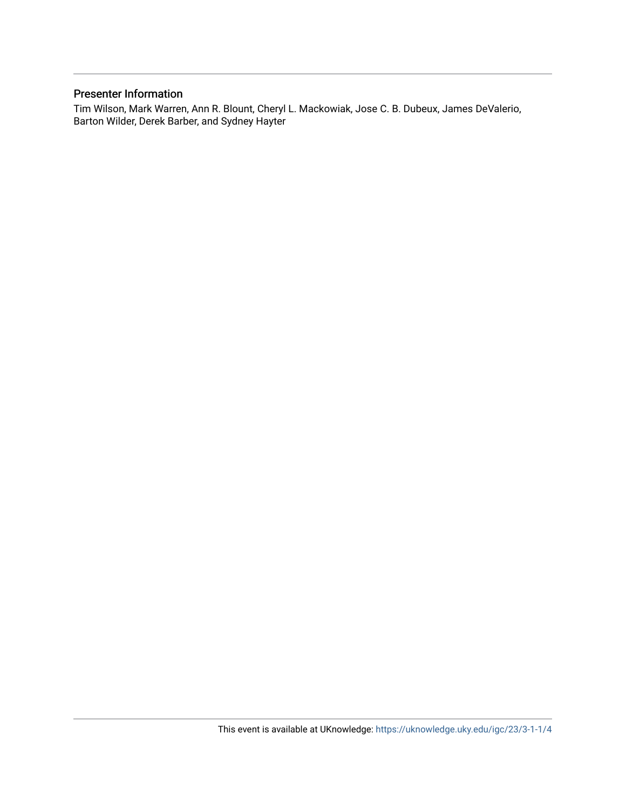# Presenter Information

Tim Wilson, Mark Warren, Ann R. Blount, Cheryl L. Mackowiak, Jose C. B. Dubeux, James DeValerio, Barton Wilder, Derek Barber, and Sydney Hayter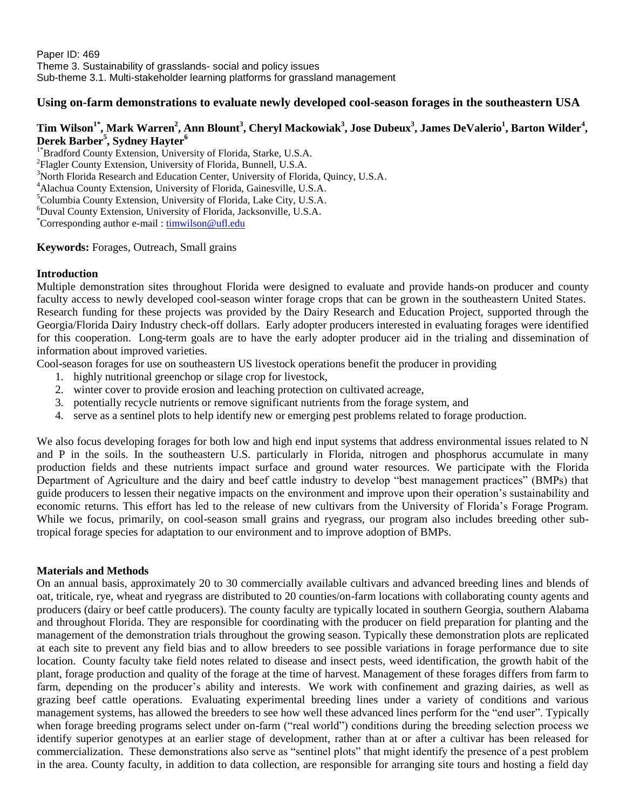Paper ID: 469 Theme 3. Sustainability of grasslands- social and policy issues Sub-theme 3.1. Multi-stakeholder learning platforms for grassland management

## **Using on-farm demonstrations to evaluate newly developed cool-season forages in the southeastern USA**

## **Tim Wilson1\* , Mark Warren<sup>2</sup> , Ann Blount<sup>3</sup> , Cheryl Mackowiak<sup>3</sup> , Jose Dubeux<sup>3</sup> , James DeValerio<sup>1</sup> , Barton Wilder<sup>4</sup> , Derek Barber<sup>5</sup> , Sydney Hayter<sup>6</sup>**

<sup>1\*</sup>Bradford County Extension, University of Florida, Starke, U.S.A. <sup>2</sup>Flagler County Extension, University of Florida, Bunnell, U.S.A.  $3$ North Florida Research and Education Center, University of Florida, Quincy, U.S.A. <sup>4</sup>Alachua County Extension, University of Florida, Gainesville, U.S.A.  $5$ Columbia County Extension, University of Florida, Lake City, U.S.A. <sup>6</sup>Duval County Extension, University of Florida, Jacksonville, U.S.A. \*Corresponding author e-mail [: timwilson@ufl.edu](mailto:timwilson@ufl.edu)

### **Keywords:** Forages, Outreach, Small grains

#### **Introduction**

Multiple demonstration sites throughout Florida were designed to evaluate and provide hands-on producer and county faculty access to newly developed cool-season winter forage crops that can be grown in the southeastern United States. Research funding for these projects was provided by the Dairy Research and Education Project, supported through the Georgia/Florida Dairy Industry check-off dollars. Early adopter producers interested in evaluating forages were identified for this cooperation. Long-term goals are to have the early adopter producer aid in the trialing and dissemination of information about improved varieties.

Cool-season forages for use on southeastern US livestock operations benefit the producer in providing

- 1. highly nutritional greenchop or silage crop for livestock,
- 2. winter cover to provide erosion and leaching protection on cultivated acreage,
- 3. potentially recycle nutrients or remove significant nutrients from the forage system, and
- 4. serve as a sentinel plots to help identify new or emerging pest problems related to forage production.

We also focus developing forages for both low and high end input systems that address environmental issues related to N and P in the soils. In the southeastern U.S. particularly in Florida, nitrogen and phosphorus accumulate in many production fields and these nutrients impact surface and ground water resources. We participate with the Florida Department of Agriculture and the dairy and beef cattle industry to develop "best management practices" (BMPs) that guide producers to lessen their negative impacts on the environment and improve upon their operation's sustainability and economic returns. This effort has led to the release of new cultivars from the University of Florida's Forage Program. While we focus, primarily, on cool-season small grains and ryegrass, our program also includes breeding other subtropical forage species for adaptation to our environment and to improve adoption of BMPs.

#### **Materials and Methods**

On an annual basis, approximately 20 to 30 commercially available cultivars and advanced breeding lines and blends of oat, triticale, rye, wheat and ryegrass are distributed to 20 counties/on-farm locations with collaborating county agents and producers (dairy or beef cattle producers). The county faculty are typically located in southern Georgia, southern Alabama and throughout Florida. They are responsible for coordinating with the producer on field preparation for planting and the management of the demonstration trials throughout the growing season. Typically these demonstration plots are replicated at each site to prevent any field bias and to allow breeders to see possible variations in forage performance due to site location. County faculty take field notes related to disease and insect pests, weed identification, the growth habit of the plant, forage production and quality of the forage at the time of harvest. Management of these forages differs from farm to farm, depending on the producer's ability and interests. We work with confinement and grazing dairies, as well as grazing beef cattle operations. Evaluating experimental breeding lines under a variety of conditions and various management systems, has allowed the breeders to see how well these advanced lines perform for the "end user". Typically when forage breeding programs select under on-farm ("real world") conditions during the breeding selection process we identify superior genotypes at an earlier stage of development, rather than at or after a cultivar has been released for commercialization. These demonstrations also serve as "sentinel plots" that might identify the presence of a pest problem in the area. County faculty, in addition to data collection, are responsible for arranging site tours and hosting a field day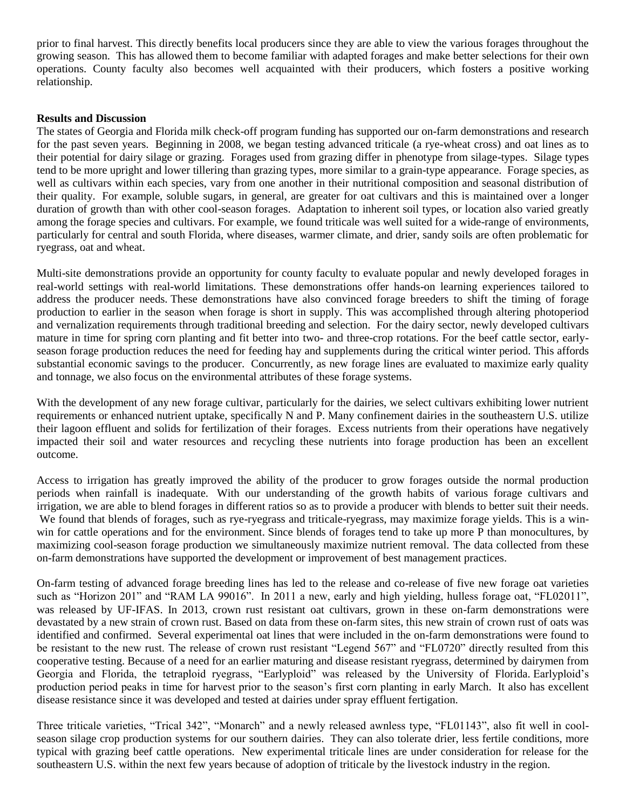prior to final harvest. This directly benefits local producers since they are able to view the various forages throughout the growing season. This has allowed them to become familiar with adapted forages and make better selections for their own operations. County faculty also becomes well acquainted with their producers, which fosters a positive working relationship.

### **Results and Discussion**

The states of Georgia and Florida milk check-off program funding has supported our on-farm demonstrations and research for the past seven years. Beginning in 2008, we began testing advanced triticale (a rye-wheat cross) and oat lines as to their potential for dairy silage or grazing. Forages used from grazing differ in phenotype from silage-types. Silage types tend to be more upright and lower tillering than grazing types, more similar to a grain-type appearance. Forage species, as well as cultivars within each species, vary from one another in their nutritional composition and seasonal distribution of their quality. For example, soluble sugars, in general, are greater for oat cultivars and this is maintained over a longer duration of growth than with other cool-season forages. Adaptation to inherent soil types, or location also varied greatly among the forage species and cultivars. For example, we found triticale was well suited for a wide-range of environments, particularly for central and south Florida, where diseases, warmer climate, and drier, sandy soils are often problematic for ryegrass, oat and wheat.

Multi-site demonstrations provide an opportunity for county faculty to evaluate popular and newly developed forages in real-world settings with real-world limitations. These demonstrations offer hands-on learning experiences tailored to address the producer needs. These demonstrations have also convinced forage breeders to shift the timing of forage production to earlier in the season when forage is short in supply. This was accomplished through altering photoperiod and vernalization requirements through traditional breeding and selection. For the dairy sector, newly developed cultivars mature in time for spring corn planting and fit better into two- and three-crop rotations. For the beef cattle sector, earlyseason forage production reduces the need for feeding hay and supplements during the critical winter period. This affords substantial economic savings to the producer. Concurrently, as new forage lines are evaluated to maximize early quality and tonnage, we also focus on the environmental attributes of these forage systems.

With the development of any new forage cultivar, particularly for the dairies, we select cultivars exhibiting lower nutrient requirements or enhanced nutrient uptake, specifically N and P. Many confinement dairies in the southeastern U.S. utilize their lagoon effluent and solids for fertilization of their forages. Excess nutrients from their operations have negatively impacted their soil and water resources and recycling these nutrients into forage production has been an excellent outcome.

Access to irrigation has greatly improved the ability of the producer to grow forages outside the normal production periods when rainfall is inadequate. With our understanding of the growth habits of various forage cultivars and irrigation, we are able to blend forages in different ratios so as to provide a producer with blends to better suit their needs. We found that blends of forages, such as rye-ryegrass and triticale-ryegrass, may maximize forage yields. This is a winwin for cattle operations and for the environment. Since blends of forages tend to take up more P than monocultures, by maximizing cool-season forage production we simultaneously maximize nutrient removal. The data collected from these on-farm demonstrations have supported the development or improvement of best management practices.

On-farm testing of advanced forage breeding lines has led to the release and co-release of five new forage oat varieties such as "Horizon 201" and "RAM LA 99016". In 2011 a new, early and high yielding, hulless forage oat, "FL02011", was released by UF-IFAS. In 2013, crown rust resistant oat cultivars, grown in these on-farm demonstrations were devastated by a new strain of crown rust. Based on data from these on-farm sites, this new strain of crown rust of oats was identified and confirmed. Several experimental oat lines that were included in the on-farm demonstrations were found to be resistant to the new rust. The release of crown rust resistant "Legend 567" and "FL0720" directly resulted from this cooperative testing. Because of a need for an earlier maturing and disease resistant ryegrass, determined by dairymen from Georgia and Florida, the tetraploid ryegrass, "Earlyploid" was released by the University of Florida. Earlyploid's production period peaks in time for harvest prior to the season's first corn planting in early March. It also has excellent disease resistance since it was developed and tested at dairies under spray effluent fertigation.

Three triticale varieties, "Trical 342", "Monarch" and a newly released awnless type, "FL01143", also fit well in coolseason silage crop production systems for our southern dairies. They can also tolerate drier, less fertile conditions, more typical with grazing beef cattle operations. New experimental triticale lines are under consideration for release for the southeastern U.S. within the next few years because of adoption of triticale by the livestock industry in the region.